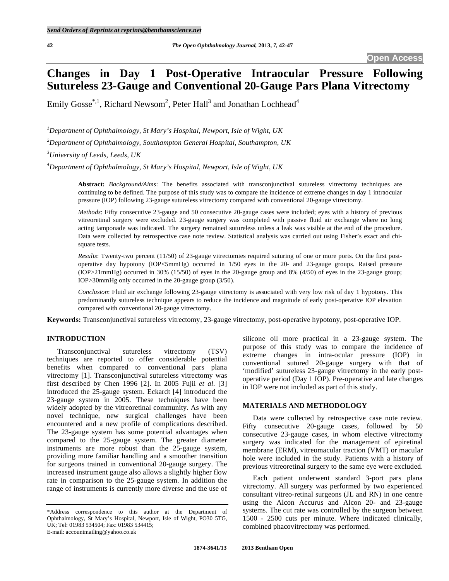# **Changes in Day 1 Post-Operative Intraocular Pressure Following Sutureless 23-Gauge and Conventional 20-Gauge Pars Plana Vitrectomy**

Emily Gosse<sup>\*,1</sup>, Richard Newsom<sup>2</sup>, Peter Hall<sup>3</sup> and Jonathan Lochhead<sup>4</sup>

*1 Department of Ophthalmology, St Mary's Hospital, Newport, Isle of Wight, UK* 

*2 Department of Ophthalmology, Southampton General Hospital, Southampton, UK* 

*3 University of Leeds, Leeds, UK* 

*4 Department of Ophthalmology, St Mary's Hospital, Newport, Isle of Wight, UK* 

**Abstract:** *Background/Aims*: The benefits associated with transconjunctival sutureless vitrectomy techniques are continuing to be defined. The purpose of this study was to compare the incidence of extreme changes in day 1 intraocular pressure (IOP) following 23-gauge sutureless vitrectomy compared with conventional 20-gauge vitrectomy.

*Methods*: Fifty consecutive 23-gauge and 50 consecutive 20-gauge cases were included; eyes with a history of previous vitreoretinal surgery were excluded. 23-gauge surgery was completed with passive fluid air exchange where no long acting tamponade was indicated. The surgery remained sutureless unless a leak was visible at the end of the procedure. Data were collected by retrospective case note review. Statistical analysis was carried out using Fisher's exact and chisquare tests.

*Results*: Twenty-two percent (11/50) of 23-gauge vitrectomies required suturing of one or more ports. On the first postoperative day hypotony (IOP<5mmHg) occurred in 1/50 eyes in the 20- and 23-gauge groups. Raised pressure (IOP>21mmHg) occurred in 30% (15/50) of eyes in the 20-gauge group and 8% (4/50) of eyes in the 23-gauge group; IOP>30mmHg only occurred in the 20-gauge group (3/50).

*Conclusion*: Fluid air exchange following 23-gauge vitrectomy is associated with very low risk of day 1 hypotony. This predominantly sutureless technique appears to reduce the incidence and magnitude of early post-operative IOP elevation compared with conventional 20-gauge vitrectomy.

**Keywords:** Transconjunctival sutureless vitrectomy, 23-gauge vitrectomy, post-operative hypotony, post-operative IOP.

# **INTRODUCTION**

 Transconjunctival sutureless vitrectomy (TSV) techniques are reported to offer considerable potential benefits when compared to conventional pars plana vitrectomy [1]. Transconjunctival sutureless vitrectomy was first described by Chen 1996 [2]. In 2005 Fujii *et al*. [3] introduced the 25-gauge system. Eckardt [4] introduced the 23-gauge system in 2005. These techniques have been widely adopted by the vitreoretinal community. As with any novel technique, new surgical challenges have been encountered and a new profile of complications described. The 23-gauge system has some potential advantages when compared to the 25-gauge system. The greater diameter instruments are more robust than the 25-gauge system, providing more familiar handling and a smoother transition for surgeons trained in conventional 20-gauge surgery. The increased instrument gauge also allows a slightly higher flow rate in comparison to the 25-gauge system. In addition the range of instruments is currently more diverse and the use of

membrane (ERM), vitreomacular traction (VMT) or macular hole were included in the study. Patients with a history of previous vitreoretinal surgery to the same eye were excluded.

 Each patient underwent standard 3-port pars plana vitrectomy. All surgery was performed by two experienced consultant vitreo-retinal surgeons (JL and RN) in one centre using the Alcon Accurus and Alcon 20- and 23-gauge systems. The cut rate was controlled by the surgeon between 1500 - 2500 cuts per minute. Where indicated clinically, combined phacovitrectomy was performed.

silicone oil more practical in a 23-gauge system. The purpose of this study was to compare the incidence of extreme changes in intra-ocular pressure (IOP) in conventional sutured 20-gauge surgery with that of 'modified' sutureless 23-gauge vitrectomy in the early postoperative period (Day 1 IOP). Pre-operative and late changes

 Data were collected by retrospective case note review. Fifty consecutive 20-gauge cases, followed by 50 consecutive 23-gauge cases, in whom elective vitrectomy surgery was indicated for the management of epiretinal

in IOP were not included as part of this study.

**MATERIALS AND METHODOLOGY** 

<sup>\*</sup>Address correspondence to this author at the Department of Ophthalmology, St Mary's Hospital, Newport, Isle of Wight, PO30 5TG, UK; Tel: 01983 534504; Fax: 01983 534415; E-mail: accountmailing@yahoo.co.uk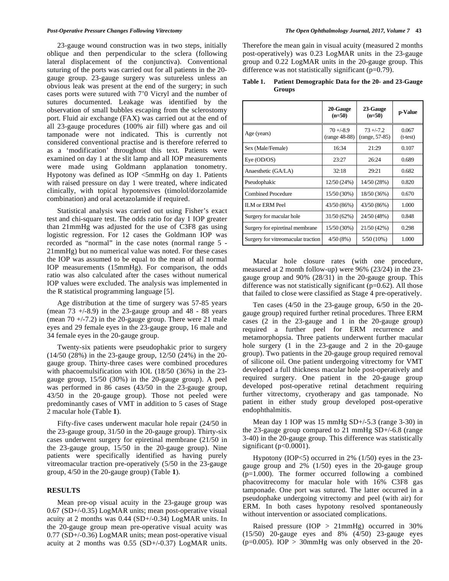23-gauge wound construction was in two steps, initially oblique and then perpendicular to the sclera (following lateral displacement of the conjunctiva). Conventional suturing of the ports was carried out for all patients in the 20 gauge group. 23-gauge surgery was sutureless unless an obvious leak was present at the end of the surgery; in such cases ports were sutured with 7'0 Vicryl and the number of sutures documented. Leakage was identified by the observation of small bubbles escaping from the sclerostomy port. Fluid air exchange (FAX) was carried out at the end of all 23-gauge procedures (100% air fill) where gas and oil tamponade were not indicated. This is currently not considered conventional practise and is therefore referred to as a 'modification' throughout this text. Patients were examined on day 1 at the slit lamp and all IOP measurements were made using Goldmann applanation tonometry. Hypotony was defined as IOP <5mmHg on day 1. Patients with raised pressure on day 1 were treated, where indicated clinically, with topical hypotensives (timolol/dorzolamide combination) and oral acetazolamide if required.

 Statistical analysis was carried out using Fisher's exact test and chi-square test. The odds ratio for day 1 IOP greater than 21mmHg was adjusted for the use of C3F8 gas using logistic regression. For 12 cases the Goldmann IOP was recorded as "normal" in the case notes (normal range 5 - 21mmHg) but no numerical value was noted. For these cases the IOP was assumed to be equal to the mean of all normal IOP measurements (15mmHg). For comparison, the odds ratio was also calculated after the cases without numerical IOP values were excluded. The analysis was implemented in the R statistical programming language [5].

 Age distribution at the time of surgery was 57-85 years (mean  $73 + (-8.9)$  in the 23-gauge group and 48 - 88 years (mean  $70 + (-7.2)$ ) in the 20-gauge group. There were 21 male eyes and 29 female eyes in the 23-gauge group, 16 male and 34 female eyes in the 20-gauge group.

 Twenty-six patients were pseudophakic prior to surgery (14/50 (28%) in the 23-gauge group, 12/50 (24%) in the 20 gauge group. Thirty-three cases were combined procedures with phacoemulsification with IOL (18/50 (36%) in the 23 gauge group, 15/50 (30%) in the 20-gauge group). A peel was performed in 86 cases (43/50 in the 23-gauge group, 43/50 in the 20-gauge group). Those not peeled were predominantly cases of VMT in addition to 5 cases of Stage 2 macular hole (Table **1**).

 Fifty-five cases underwent macular hole repair (24/50 in the 23-gauge group, 31/50 in the 20-gauge group). Thirty-six cases underwent surgery for epiretinal membrane (21/50 in the 23-gauge group, 15/50 in the 20-gauge group). Nine patients were specifically identified as having purely vitreomacular traction pre-operatively (5/50 in the 23-gauge group, 4/50 in the 20-gauge group) (Table **1**).

#### **RESULTS**

 Mean pre-op visual acuity in the 23-gauge group was 0.67 (SD+/-0.35) LogMAR units; mean post-operative visual acuity at 2 months was 0.44 (SD+/-0.34) LogMAR units. In the 20-gauge group mean pre-operative visual acuity was 0.77 (SD+/-0.36) LogMAR units; mean post-operative visual acuity at 2 months was 0.55 (SD+/-0.37) LogMAR units.

Therefore the mean gain in visual acuity (measured 2 months post-operatively) was 0.23 LogMAR units in the 23-gauge group and 0.22 LogMAR units in the 20-gauge group. This difference was not statistically significant  $(p=0.79)$ .

**Table 1. Patient Demographic Data for the 20- and 23-Gauge Groups** 

|                                    | 20-Gauge<br>$(n=50)$           | 23-Gauge<br>$(n=50)$            | p-Value             |
|------------------------------------|--------------------------------|---------------------------------|---------------------|
| Age (years)                        | $70 + (-8.9)$<br>(range 48-88) | $73 + (-7.2)$<br>(range, 57-85) | 0.067<br>$(t-test)$ |
| Sex (Male/Female)                  | 16:34                          | 21:29                           | 0.107               |
| Eye (OD/OS)                        | 23:27                          | 26:24                           | 0.689               |
| Anaesthetic (GA/LA)                | 32:18                          | 29:21                           | 0.682               |
| Pseudophakic                       | 12/50 (24%)                    | 14/50 (28%)                     | 0.820               |
| <b>Combined Procedure</b>          | 15/50 (30%)                    | 18/50 (36%)                     | 0.670               |
| <b>ILM</b> or ERM Peel             | 43/50 (86%)                    | 43/50 (86%)                     | 1.000               |
| Surgery for macular hole           | 31/50 (62%)                    | 24/50 (48%)                     | 0.848               |
| Surgery for epiretinal membrane    | 15/50 (30%)                    | 21/50 (42%)                     | 0.298               |
| Surgery for vitreomacular traction | 4/50(8%)                       | $5/50(10\%)$                    | 1.000               |

 Macular hole closure rates (with one procedure, measured at 2 month follow-up) were 96% (23/24) in the 23 gauge group and 90% (28/31) in the 20-gauge group. This difference was not statistically significant (p=0.62). All those that failed to close were classified as Stage 4 pre-operatively.

 Ten cases (4/50 in the 23-gauge group, 6/50 in the 20 gauge group) required further retinal procedures. Three ERM cases (2 in the 23-gauge and 1 in the 20-gauge group) required a further peel for ERM recurrence and metamorphopsia. Three patients underwent further macular hole surgery (1 in the 23-gauge and 2 in the 20-gauge group). Two patients in the 20-gauge group required removal of silicone oil. One patient undergoing vitrectomy for VMT developed a full thickness macular hole post-operatively and required surgery. One patient in the 20-gauge group developed post-operative retinal detachment requiring further vitrectomy, cryotherapy and gas tamponade. No patient in either study group developed post-operative endophthalmitis.

 Mean day 1 IOP was 15 mmHg SD+/-5.3 (range 3-30) in the 23-gauge group compared to 21 mmHg SD+/-6.8 (range 3-40) in the 20-gauge group. This difference was statistically significant (p<0.0001).

 Hypotony (IOP<5) occurred in 2% (1/50) eyes in the 23 gauge group and 2% (1/50) eyes in the 20-gauge group (p=1.000). The former occurred following a combined phacovitrecomy for macular hole with 16% C3F8 gas tamponade. One port was sutured. The latter occurred in a pseudophake undergoing vitrectomy and peel (with air) for ERM. In both cases hypotony resolved spontaneously without intervention or associated complications.

 Raised pressure (IOP > 21mmHg) occurred in 30% (15/50) 20-gauge eyes and 8% (4/50) 23-gauge eyes ( $p=0.005$ ). IOP > 30mmHg was only observed in the 20-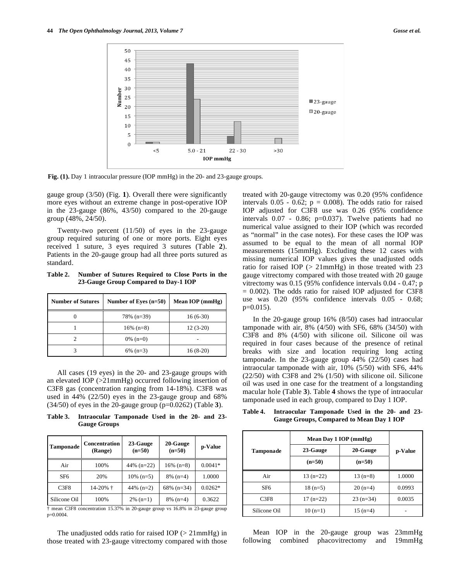

**Fig. (1).** Day 1 intraocular pressure (IOP mmHg) in the 20- and 23-gauge groups.

gauge group (3/50) (Fig. **1**). Overall there were significantly more eyes without an extreme change in post-operative IOP in the 23-gauge (86%, 43/50) compared to the 20-gauge group (48%, 24/50).

 Twenty-two percent (11/50) of eyes in the 23-gauge group required suturing of one or more ports. Eight eyes received 1 suture, 3 eyes required 3 sutures (Table **2**). Patients in the 20-gauge group had all three ports sutured as standard.

**Table 2. Number of Sutures Required to Close Ports in the 23-Gauge Group Compared to Day-1 IOP** 

| <b>Number of Sutures</b> | Number of Eves $(n=50)$ | Mean IOP (mmHg) |
|--------------------------|-------------------------|-----------------|
|                          | $78\%$ (n=39)           | $16(6-30)$      |
|                          | $16\%$ (n=8)            | $12(3-20)$      |
|                          | $0\%$ (n=0)             |                 |
|                          | $6\%$ (n=3)             | $16(8-20)$      |

 All cases (19 eyes) in the 20- and 23-gauge groups with an elevated IOP (>21mmHg) occurred following insertion of C3F8 gas (concentration ranging from 14-18%). C3F8 was used in 44% (22/50) eyes in the 23-gauge group and 68% (34/50) of eyes in the 20-gauge group (p=0.0262) (Table **3**).

**Table 3. Intraocular Tamponade Used in the 20- and 23- Gauge Groups** 

| Tamponade    | <b>Concentration</b><br>(Range) | 20-Gauge<br>23-Gauge<br>$(n=50)$<br>$(n=50)$ |               | p-Value   |
|--------------|---------------------------------|----------------------------------------------|---------------|-----------|
| Air          | 100%                            | 44% $(n=22)$                                 | $16\%$ (n=8)  | $0.0041*$ |
| SF6          | 20%                             | $10\%$ (n=5)                                 | $8\%$ (n=4)   | 1.0000    |
| C3F8         | $14-20%$ †                      | 44% $(n=2)$                                  | $68\%$ (n=34) | $0.0262*$ |
| Silicone Oil | 100%                            | $2\%$ (n=1)                                  | $8\%$ (n=4)   | 0.3622    |

† mean C3F8 concentration 15.37% in 20-gauge group vs 16.8% in 23-gauge group p=0.0004.

The unadjusted odds ratio for raised IOP  $(>21$ mmHg) in those treated with 23-gauge vitrectomy compared with those treated with 20-gauge vitrectomy was 0.20 (95% confidence intervals  $0.05 - 0.62$ ;  $p = 0.008$ ). The odds ratio for raised IOP adjusted for C3F8 use was 0.26 (95% confidence intervals 0.07 - 0.86; p=0.037). Twelve patients had no numerical value assigned to their IOP (which was recorded as "normal" in the case notes). For these cases the IOP was assumed to be equal to the mean of all normal IOP measurements (15mmHg). Excluding these 12 cases with missing numerical IOP values gives the unadjusted odds ratio for raised IOP (> 21mmHg) in those treated with 23 gauge vitrectomy compared with those treated with 20 gauge vitrectomy was 0.15 (95% confidence intervals 0.04 - 0.47; p  $= 0.002$ ). The odds ratio for raised IOP adjusted for C3F8 use was 0.20 (95% confidence intervals 0.05 - 0.68;  $p=0.015$ ).

 In the 20-gauge group 16% (8/50) cases had intraocular tamponade with air, 8% (4/50) with SF6, 68% (34/50) with C3F8 and 8% (4/50) with silicone oil. Silicone oil was required in four cases because of the presence of retinal breaks with size and location requiring long acting tamponade. In the 23-gauge group 44% (22/50) cases had intraocular tamponade with air, 10% (5/50) with SF6, 44% (22/50) with C3F8 and 2% (1/50) with silicone oil. Silicone oil was used in one case for the treatment of a longstanding macular hole (Table **3**). Table **4** shows the type of intraocular tamponade used in each group, compared to Day 1 IOP.

| Table 4. | Intraocular Tamponade Used in the 20- and 23- |  |  |  |
|----------|-----------------------------------------------|--|--|--|
|          | Gauge Groups, Compared to Mean Day 1 IOP      |  |  |  |

|                  | Mean Day 1 IOP (mmHg) |            |         |  |
|------------------|-----------------------|------------|---------|--|
| <b>Tamponade</b> | 23-Gauge              | 20-Gauge   | p-Value |  |
|                  | $(n=50)$              | $(n=50)$   |         |  |
| Air              | $13(n=22)$            | $13(n=8)$  | 1.0000  |  |
| SF <sub>6</sub>  | $18(n=5)$             | $20(n=4)$  | 0.0993  |  |
| C3F8             | $17(n=22)$            | $23(n=34)$ | 0.0035  |  |
| Silicone Oil     | $10(n=1)$             | $15(n=4)$  |         |  |

 Mean IOP in the 20-gauge group was 23mmHg following combined phacovitrectomy and 19mmHg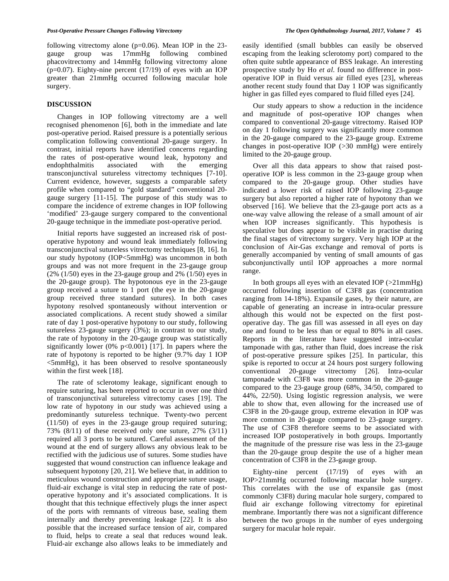### **DISCUSSION**

 Changes in IOP following vitrectomy are a well recognised phenomenon [6], both in the immediate and late post-operative period. Raised pressure is a potentially serious complication following conventional 20-gauge surgery. In contrast, initial reports have identified concerns regarding the rates of post-operative wound leak, hypotony and endophthalmitis associated with the emerging transconjunctival sutureless vitrectomy techniques [7-10]. Current evidence, however, suggests a comparable safety profile when compared to "gold standard" conventional 20 gauge surgery [11-15]. The purpose of this study was to compare the incidence of extreme changes in IOP following 'modified' 23-gauge surgery compared to the conventional 20-gauge technique in the immediate post-operative period.

 Initial reports have suggested an increased risk of postoperative hypotony and wound leak immediately following transconjunctival sutureless vitrectomy techniques [8, 16]. In our study hypotony (IOP<5mmHg) was uncommon in both groups and was not more frequent in the 23-gauge group  $(2\% (1/50)$  eyes in the 23-gauge group and 2%  $(1/50)$  eyes in the 20-gauge group). The hypotonous eye in the 23-gauge group received a suture to 1 port (the eye in the 20-gauge group received three standard sutures). In both cases hypotony resolved spontaneously without intervention or associated complications. A recent study showed a similar rate of day 1 post-operative hypotony to our study, following sutureless 23-gauge surgery (3%); in contrast to our study, the rate of hypotony in the 20-gauge group was statistically significantly lower  $(0\% \text{ p} < 0.001)$  [17]. In papers where the rate of hypotony is reported to be higher (9.7% day 1 IOP <5mmHg), it has been observed to resolve spontaneously within the first week [18].

 The rate of sclerotomy leakage, significant enough to require suturing, has been reported to occur in over one third of transconjunctival sutureless vitrectomy cases [19]. The low rate of hypotony in our study was achieved using a predominantly sutureless technique. Twenty-two percent (11/50) of eyes in the 23-gauge group required suturing; 73% (8/11) of these received only one suture, 27% (3/11) required all 3 ports to be sutured. Careful assessment of the wound at the end of surgery allows any obvious leak to be rectified with the judicious use of sutures. Some studies have suggested that wound construction can influence leakage and subsequent hypotony [20, 21]. We believe that, in addition to meticulous wound construction and appropriate suture usage, fluid-air exchange is vital step in reducing the rate of postoperative hypotony and it's associated complications. It is thought that this technique effectively plugs the inner aspect of the ports with remnants of vitreous base, sealing them internally and thereby preventing leakage [22]. It is also possible that the increased surface tension of air, compared to fluid, helps to create a seal that reduces wound leak. Fluid-air exchange also allows leaks to be immediately and

easily identified (small bubbles can easily be observed escaping from the leaking sclerotomy port) compared to the often quite subtle appearance of BSS leakage. An interesting prospective study by Ho *et al*. found no difference in postoperative IOP in fluid versus air filled eyes [23], whereas another recent study found that Day 1 IOP was significantly higher in gas filled eyes compared to fluid filled eyes [24].

 Our study appears to show a reduction in the incidence and magnitude of post-operative IOP changes when compared to conventional 20-gauge vitrectomy. Raised IOP on day 1 following surgery was significantly more common in the 20-gauge compared to the 23-gauge group. Extreme changes in post-operative IOP (>30 mmHg) were entirely limited to the 20-gauge group.

 Over all this data appears to show that raised postoperative IOP is less common in the 23-gauge group when compared to the 20-gauge group. Other studies have indicated a lower risk of raised IOP following 23-gauge surgery but also reported a higher rate of hypotony than we observed [16]. We believe that the 23-gauge port acts as a one-way valve allowing the release of a small amount of air when IOP increases significantly. This hypothesis is speculative but does appear to be visible in practise during the final stages of vitrectomy surgery. Very high IOP at the conclusion of Air-Gas exchange and removal of ports is generally accompanied by venting of small amounts of gas subconjunctivally until IOP approaches a more normal range.

In both groups all eyes with an elevated IOP  $(>21mmHg)$ occurred following insertion of C3F8 gas (concentration ranging from 14-18%). Expansile gases, by their nature, are capable of generating an increase in intra-ocular pressure although this would not be expected on the first postoperative day. The gas fill was assessed in all eyes on day one and found to be less than or equal to 80% in all cases. Reports in the literature have suggested intra-ocular tamponade with gas, rather than fluid, does increase the risk of post-operative pressure spikes [25]. In particular, this spike is reported to occur at 24 hours post surgery following conventional 20-gauge vitrectomy [26]. Intra-ocular tamponade with C3F8 was more common in the 20-gauge compared to the 23-gauge group (68%, 34/50, compared to 44%, 22/50). Using logistic regression analysis, we were able to show that, even allowing for the increased use of C3F8 in the 20-gauge group, extreme elevation in IOP was more common in 20-gauge compared to 23-gauge surgery. The use of C3F8 therefore seems to be associated with increased IOP postoperatively in both groups. Importantly the magnitude of the pressure rise was less in the 23-gauge than the 20-gauge group despite the use of a higher mean concentration of C3F8 in the 23-gauge group.

 Eighty-nine percent (17/19) of eyes with an IOP>21mmHg occurred following macular hole surgery. This correlates with the use of expansile gas (most commonly C3F8) during macular hole surgery, compared to fluid air exchange following vitrectomy for epiretinal membrane. Importantly there was not a significant difference between the two groups in the number of eyes undergoing surgery for macular hole repair.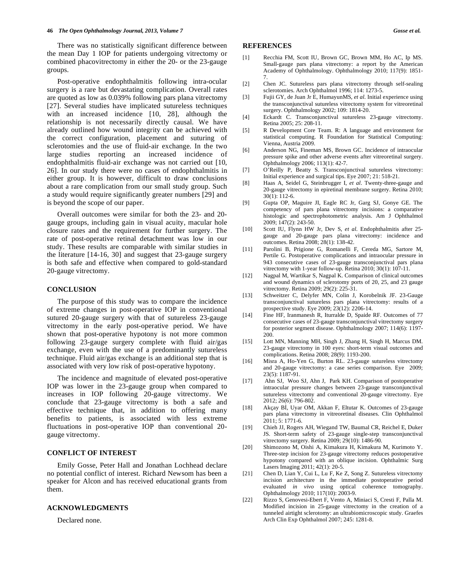There was no statistically significant difference between the mean Day 1 IOP for patients undergoing vitrectomy or combined phacovitrectomy in either the 20- or the 23-gauge groups.

 Post-operative endophthalmitis following intra-ocular surgery is a rare but devastating complication. Overall rates are quoted as low as 0.039% following pars plana vitrectomy [27]. Several studies have implicated sutureless techniques with an increased incidence [10, 28], although the relationship is not necessarily directly causal. We have already outlined how wound integrity can be achieved with the correct configuration, placement and suturing of sclerotomies and the use of fluid-air exchange. In the two large studies reporting an increased incidence of endophthalmitis fluid-air exchange was not carried out [10, 26]. In our study there were no cases of endophthalmitis in either group. It is however, difficult to draw conclusions about a rare complication from our small study group. Such a study would require significantly greater numbers [29] and is beyond the scope of our paper.

 Overall outcomes were similar for both the 23- and 20 gauge groups, including gain in visual acuity, macular hole closure rates and the requirement for further surgery. The rate of post-operative retinal detachment was low in our study. These results are comparable with similar studies in the literature [14-16, 30] and suggest that 23-gauge surgery is both safe and effective when compared to gold-standard 20-gauge vitrectomy.

#### **CONCLUSION**

 The purpose of this study was to compare the incidence of extreme changes in post-operative IOP in conventional sutured 20-gauge surgery with that of sutureless 23-gauge vitrectomy in the early post-operative period. We have shown that post-operative hypotony is not more common following 23-gauge surgery complete with fluid air/gas exchange, even with the use of a predominantly sutureless technique. Fluid air/gas exchange is an additional step that is associated with very low risk of post-operative hypotony.

 The incidence and magnitude of elevated post-operative IOP was lower in the 23-gauge group when compared to increases in IOP following 20-gauge vitrectomy. We conclude that 23-gauge vitrectomy is both a safe and effective technique that, in addition to offering many benefits to patients, is associated with less extreme fluctuations in post-operative IOP than conventional 20 gauge vitrectomy.

#### **CONFLICT OF INTEREST**

 Emily Gosse, Peter Hall and Jonathan Lochhead declare no potential conflict of interest. Richard Newsom has been a speaker for Alcon and has received educational grants from them.

## **ACKNOWLEDGMENTS**

Declared none.

#### **REFERENCES**

- [1] Recchia FM, Scott IU, Brown GC, Brown MM, Ho AC, Ip MS. Small-gauge pars plana vitrectomy: a report by the American Academy of Ophthalmology. Ophthalmology 2010; 117(9): 1851- 7.
- [2] Chen JC. Sutureless pars plana vitrectomy through self-sealing sclerotomies. Arch Ophthalmol 1996; 114: 1273-5.
- [3] Fujii GY, de Juan Jr E, HumayunMS, *et al*. Initial experience using the transconjunctival sutureless vitrectomy system for vitreoretinal surgery. Ophthalmology 2002; 109: 1814-20.
- [4] Eckardt C. Transconjunctival sutureless 23-gauge vitrectomy. Retina 2005; 25: 208-11.
- [5] R Development Core Team. R: A language and environment for statistical computing. R Foundation for Statistical Computing: Vienna, Austria 2009.
- [6] Anderson NG, Fineman MS, Brown GC. Incidence of intraocular pressure spike and other adverse events after vitreoretinal surgery. Ophthalmology 2006; 113(1): 42-7.
- [7] O'Reilly P, Beatty S. Transconjunctival sutureless vitrectomy: Initial experience and surgical tips. Eye 2007; 21: 518-21.
- [8] Haas A, Seidel G, Steinbrugger I, *et al*. Twenty-three-gauge and 20-gauge vitrectomy in epiretinal membrane surgery. Retina 2010;  $30(1)$ : 112-6.
- [9] Gupta OP, Maguire JI, Eagle RC Jr, Garg SJ, Gonye GE. The competency of pars plana vitrectomy incisions: a comparative histologic and spectrophotometric analysis. Am J Ophthalmol 2009; 147(2): 243-50.
- [10] Scott IU, Flynn HW Jr, Dev S, *et al*. Endophthalmitis after 25 gauge and 20-gauge pars plana vitrectomy: incidence and outcomes. Retina 2008; 28(1): 138-42.
- [11] Parolini B, Prigione G, Romanelli F, Cereda MG, Sartore M, Pertile G. Postoperative complications and intraocular pressure in 943 consecutive cases of 23-gauge transconjunctival pars plana vitrectomy with 1-year follow-up. Retina 2010; 30(1): 107-11.
- [12] Nagpal M, Wartikar S, Nagpal K. Comparison of clinical outcomes and wound dynamics of sclerotomy ports of 20, 25, and 23 gauge vitrectomy. Retina 2009; 29(2): 225-31.
- [13] Schweitzer C, Delyfer MN, Colin J, Korobelnik JF. 23-Gauge transconjunctival sutureless pars plana vitrectomy: results of a prospective study. Eye 2009; 23(12): 2206-14.
- [14] Fine HF, Iranmanesh R, Iturralde D, Spaide RF. Outcomes of 77 consecutive cases of 23-gauge transconjunctival vitrectomy surgery for posterior segment disease. Ophthalmology 2007; 114(6): 1197- 200.
- [15] Lott MN, Manning MH, Singh J, Zhang H, Singh H, Marcus DM. 23-gauge vitrectomy in 100 eyes: short-term visual outcomes and complications. Retina 2008; 28(9): 1193-200.
- [16] Misra A, Ho-Yen G, Burton RL. 23-gauge sutureless vitrectomy and 20-gauge vitrectomy: a case series comparison. Eye 2009;  $23(5)$ : 1187-91.
- [17] Ahn SJ, Woo SJ, Ahn J, Park KH. Comparison of postoperative intraocular pressure changes between 23-gauge transconjunctival sutureless vitrectomy and conventional 20-gauge vitrectomy. Eye 2012; 26(6): 796-802.
- [18] Akçay Bİ, Uyar OM, Akkan F, Eltutar K. Outcomes of 23-gauge pars plana vitrectomy in vitreoretinal diseases. Clin Ophthalmol 2011; 5: 1771-6.
- [19] Chieh JJ, Rogers AH, Wiegand TW, Baumal CR, Reichel E, Duker JS. Short-term safety of 23-gauge single-step transconjunctival vitrectomy surgery. Retina 2009; 29(10): 1486-90.
- [20] Shimozono M, Oishi A, Kimakura H, Kimakura M, Kurimoto Y. Three-step incision for 23-gauge vitrectomy reduces postoperative hypotony compared with an oblique incision. Ophthalmic Surg Lasers Imaging 2011; 42(1): 20-5.
- [21] Chen D, Lian Y, Cui L, Lu F, Ke Z, Song Z. Sutureless vitrectomy incision architecture in the immediate postoperative period evaluated *in vivo* using optical coherence tomography. Ophthalmology 2010; 117(10): 2003-9.
- [22] Rizzo S, Genovesi-Ebert F, Vento A, Miniaci S, Cresti F, Palla M. Modified incision in 25-gauge vitrectomy in the creation of a tunneled airtight sclerotomy: an ultrabiomicroscopic study. Graefes Arch Clin Exp Ophthalmol 2007; 245: 1281-8.